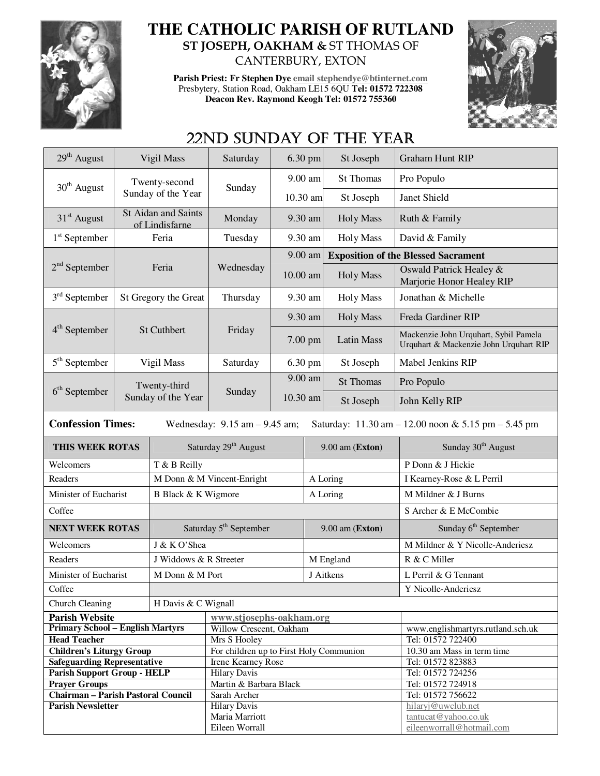

## **THE CATHOLIC PARISH OF RUTLAND ST JOSEPH, OAKHAM &** ST THOMAS OF CANTERBURY, EXTON

**Parish Priest: Fr Stephen Dye email stephendye@btinternet.com** Presbytery, Station Road, Oakham LE15 6QU **Tel: 01572 722308 Deacon Rev. Raymond Keogh Tel: 01572 755360** 



# 22ND SUNDAY OF THE YEAR

| 29 <sup>th</sup> August                                                                                              | Vigil Mass                         |                        | Saturday                                | $6.30$ pm           |         | St Joseph         | <b>Graham Hunt RIP</b>                                                          |  |
|----------------------------------------------------------------------------------------------------------------------|------------------------------------|------------------------|-----------------------------------------|---------------------|---------|-------------------|---------------------------------------------------------------------------------|--|
| 30 <sup>th</sup> August                                                                                              |                                    | Twenty-second          |                                         |                     | 9.00 am | <b>St Thomas</b>  | Pro Populo                                                                      |  |
|                                                                                                                      |                                    | Sunday of the Year     | Sunday                                  | 10.30 am            |         | St Joseph         | Janet Shield                                                                    |  |
| St Aidan and Saints<br>$31st$ August<br>of Lindisfarne                                                               |                                    |                        | Monday                                  |                     | 9.30 am | <b>Holy Mass</b>  | Ruth & Family                                                                   |  |
| $1st$ September                                                                                                      | Feria                              |                        | 9.30 am<br>Tuesday                      |                     |         | <b>Holy Mass</b>  | David & Family                                                                  |  |
|                                                                                                                      |                                    |                        |                                         | 9.00 am             |         |                   | <b>Exposition of the Blessed Sacrament</b>                                      |  |
| $2nd$ September                                                                                                      |                                    | Feria                  | Wednesday                               | $10.00$ am          |         | <b>Holy Mass</b>  | Oswald Patrick Healey &<br>Marjorie Honor Healey RIP                            |  |
| $3rd$ September                                                                                                      |                                    | St Gregory the Great   | Thursday                                | 9.30 am             |         | <b>Holy Mass</b>  | Jonathan & Michelle                                                             |  |
|                                                                                                                      | St Cuthbert                        |                        |                                         | 9.30 am             |         | <b>Holy Mass</b>  | Freda Gardiner RIP                                                              |  |
| $4th$ September                                                                                                      |                                    |                        | Friday                                  | $7.00$ pm           |         | <b>Latin Mass</b> | Mackenzie John Urquhart, Sybil Pamela<br>Urquhart & Mackenzie John Urquhart RIP |  |
| $5th$ September                                                                                                      |                                    | Vigil Mass             | Saturday                                | 6.30 pm             |         | St Joseph         | Mabel Jenkins RIP                                                               |  |
|                                                                                                                      | Twenty-third<br>Sunday of the Year |                        | Sunday                                  | 9.00 am<br>10.30 am |         | St Thomas         | Pro Populo                                                                      |  |
| $6th$ September                                                                                                      |                                    |                        |                                         |                     |         | St Joseph         | John Kelly RIP                                                                  |  |
| <b>Confession Times:</b><br>Saturday: 11.30 am - 12.00 noon & 5.15 pm - 5.45 pm<br>Wednesday: $9.15$ am $- 9.45$ am; |                                    |                        |                                         |                     |         |                   |                                                                                 |  |
| THIS WEEK ROTAS                                                                                                      |                                    |                        | Saturday 29 <sup>th</sup> August        |                     |         |                   |                                                                                 |  |
|                                                                                                                      |                                    |                        |                                         |                     |         | 9.00 am (Exton)   | Sunday 30 <sup>th</sup> August                                                  |  |
| Welcomers                                                                                                            |                                    | T & B Reilly           |                                         |                     |         |                   | P Donn & J Hickie                                                               |  |
| Readers                                                                                                              |                                    |                        | M Donn & M Vincent-Enright              |                     |         | A Loring          | I Kearney-Rose & L Perril                                                       |  |
| Minister of Eucharist                                                                                                |                                    | B Black & K Wigmore    |                                         |                     |         | A Loring          | M Mildner & J Burns                                                             |  |
| Coffee                                                                                                               |                                    |                        |                                         |                     |         |                   | S Archer & E McCombie                                                           |  |
| <b>NEXT WEEK ROTAS</b>                                                                                               |                                    |                        | Saturday 5 <sup>th</sup> September      |                     |         | 9.00 am (Exton)   | Sunday 6 <sup>th</sup> September                                                |  |
| Welcomers                                                                                                            |                                    | J & K O'Shea           |                                         |                     |         |                   | M Mildner & Y Nicolle-Anderiesz                                                 |  |
| Readers                                                                                                              |                                    | J Widdows & R Streeter |                                         |                     |         | M England         | R & C Miller                                                                    |  |
| Minister of Eucharist                                                                                                |                                    | M Donn & M Port        |                                         |                     |         | J Aitkens         | L Perril & G Tennant                                                            |  |
| Coffee                                                                                                               |                                    |                        |                                         |                     |         |                   |                                                                                 |  |
| Church Cleaning                                                                                                      |                                    | H Davis & C Wignall    |                                         |                     |         |                   | Y Nicolle-Anderiesz                                                             |  |
| <b>Parish Website</b>                                                                                                |                                    |                        | www.stjosephs-oakham.org                |                     |         |                   |                                                                                 |  |
| <b>Primary School - English Martyrs</b>                                                                              |                                    |                        | Willow Crescent, Oakham                 |                     |         |                   | www.englishmartyrs.rutland.sch.uk                                               |  |
| <b>Head Teacher</b>                                                                                                  |                                    |                        | Mrs S Hooley                            |                     |         |                   | Tel: 01572 722400                                                               |  |
| <b>Children's Liturgy Group</b>                                                                                      |                                    |                        | For children up to First Holy Communion |                     |         |                   | 10.30 am Mass in term time                                                      |  |
| <b>Safeguarding Representative</b>                                                                                   |                                    |                        | <b>Irene Kearney Rose</b>               |                     |         |                   | Tel: 01572 823883                                                               |  |
| <b>Parish Support Group - HELP</b>                                                                                   |                                    |                        | <b>Hilary Davis</b>                     |                     |         |                   | Tel: 01572 724256                                                               |  |
| <b>Prayer Groups</b>                                                                                                 |                                    |                        | Martin & Barbara Black<br>Sarah Archer  |                     |         |                   | Tel: 01572 724918<br>Tel: 01572 756622                                          |  |
| Chairman - Parish Pastoral Council<br><b>Parish Newsletter</b>                                                       |                                    |                        | <b>Hilary Davis</b>                     |                     |         |                   | hilaryj@uwclub.net                                                              |  |
|                                                                                                                      |                                    |                        | Maria Marriott<br>Eileen Worrall        |                     |         |                   | tantucat@yahoo.co.uk<br>eileenworrall@hotmail.com                               |  |